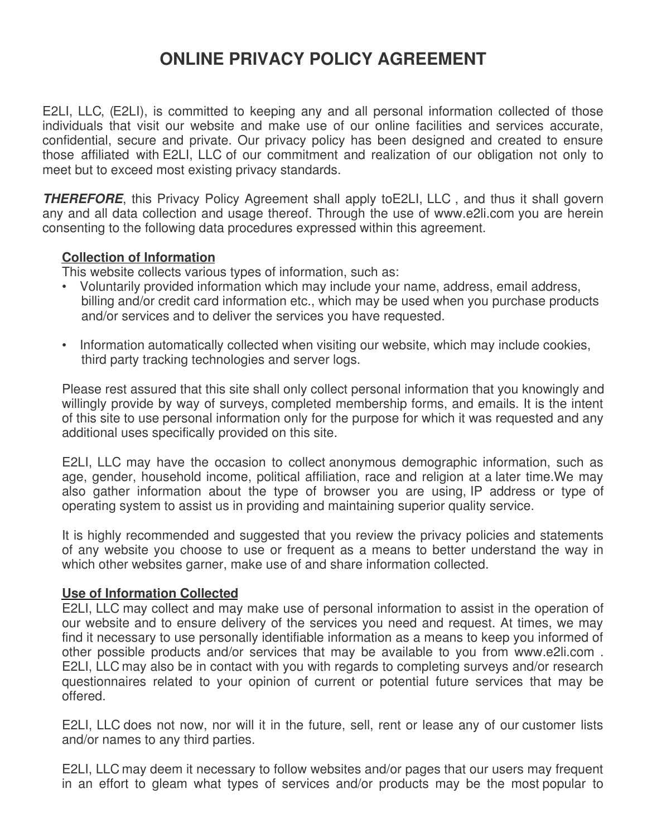# **ONLINE PRIVACY POLICY AGREEMENT**

E2LI, LLC, (E2LI), is committed to keeping any and all personal information collected of those individuals that visit our website and make use of our online facilities and services accurate, confidential, secure and private. Our privacy policy has been designed and created to ensure those affiliated with E2LI, LLC of our commitment and realization of our obligation not only to meet but to exceed most existing privacy standards.

**THEREFORE**, this Privacy Policy Agreement shall apply to E2LI, LLC, and thus it shall govern any and all data collection and usage thereof. Through the use of www.e2li.com you are herein consenting to the following data procedures expressed within this agreement.

# **Collection of Information**

This website collects various types of information, such as:

- Voluntarily provided information which may include your name, address, email address, billing and/or credit card information etc., which may be used when you purchase products and/or services and to deliver the services you have requested.
- Information automatically collected when visiting our website, which may include cookies, third party tracking technologies and server logs.

Please rest assured that this site shall only collect personal information that you knowingly and willingly provide by way of surveys, completed membership forms, and emails. It is the intent of this site to use personal information only for the purpose for which it was requested and any additional uses specifically provided on this site.

E2LI, LLC may have the occasion to collect anonymous demographic information, such as age, gender, household income, political affiliation, race and religion at a later time.We may also gather information about the type of browser you are using, IP address or type of operating system to assist us in providing and maintaining superior quality service.

It is highly recommended and suggested that you review the privacy policies and statements of any website you choose to use or frequent as a means to better understand the way in which other websites garner, make use of and share information collected.

## **Use of Information Collected**

E2LI, LLC may collect and may make use of personal information to assist in the operation of our website and to ensure delivery of the services you need and request. At times, we may find it necessary to use personally identifiable information as a means to keep you informed of other possible products and/or services that may be available to you from www.e2li.com . E2LI, LLC may also be in contact with you with regards to completing surveys and/or research questionnaires related to your opinion of current or potential future services that may be offered.

E2LI, LLC does not now, nor will it in the future, sell, rent or lease any of our customer lists and/or names to any third parties.

E2LI, LLC may deem it necessary to follow websites and/or pages that our users may frequent in an effort to gleam what types of services and/or products may be the most popular to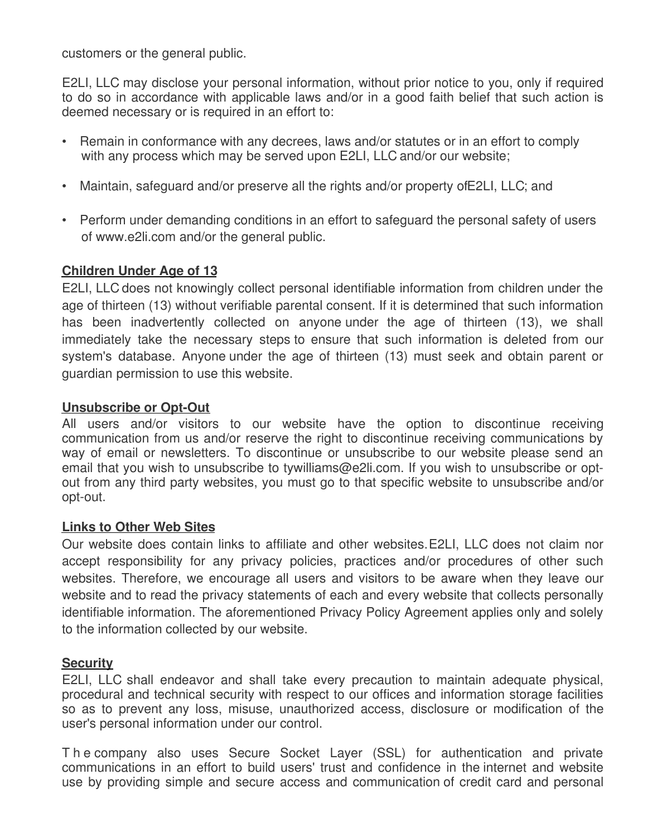customers or the general public.

E2LI, LLC may disclose your personal information, without prior notice to you, only if required to do so in accordance with applicable laws and/or in a good faith belief that such action is deemed necessary or is required in an effort to:

- Remain in conformance with any decrees, laws and/or statutes or in an effort to comply with any process which may be served upon E2LI, LLC and/or our website;
- Maintain, safeguard and/or preserve all the rights and/or property of E2LI, LLC; and
- Perform under demanding conditions in an effort to safeguard the personal safety of users of www.e2li.com and/or the general public.

## **Children Under Age of 13**

E2LI, LLC does not knowingly collect personal identifiable information from children under the age of thirteen (13) without verifiable parental consent. If it is determined that such information has been inadvertently collected on anyone under the age of thirteen (13), we shall immediately take the necessary steps to ensure that such information is deleted from our system's database. Anyone under the age of thirteen (13) must seek and obtain parent or guardian permission to use this website.

## **Unsubscribe or Opt-Out**

All users and/or visitors to our website have the option to discontinue receiving communication from us and/or reserve the right to discontinue receiving communications by way of email or newsletters. To discontinue or unsubscribe to our website please send an email that you wish to unsubscribe to tywilliams@e2li.com. If you wish to unsubscribe or optout from any third party websites, you must go to that specific website to unsubscribe and/or opt-out.

## **Links to Other Web Sites**

Our website does contain links to affiliate and other websites. E2LI, LLC does not claim nor accept responsibility for any privacy policies, practices and/or procedures of other such websites. Therefore, we encourage all users and visitors to be aware when they leave our website and to read the privacy statements of each and every website that collects personally identifiable information. The aforementioned Privacy Policy Agreement applies only and solely to the information collected by our website.

## **Security**

E2LI, LLC shall endeavor and shall take every precaution to maintain adequate physical, procedural and technical security with respect to our offices and information storage facilities so as to prevent any loss, misuse, unauthorized access, disclosure or modification of the user's personal information under our control.

T h e company also uses Secure Socket Layer (SSL) for authentication and private communications in an effort to build users' trust and confidence in the internet and website use by providing simple and secure access and communication of credit card and personal